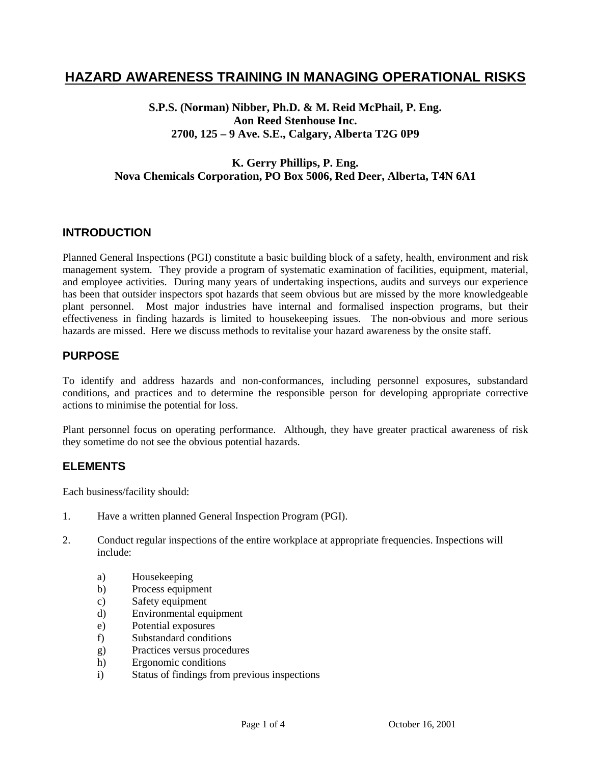### **HAZARD AWARENESS TRAINING IN MANAGING OPERATIONAL RISKS**

**S.P.S. (Norman) Nibber, Ph.D. & M. Reid McPhail, P. Eng. Aon Reed Stenhouse Inc. 2700, 125 – 9 Ave. S.E., Calgary, Alberta T2G 0P9**

#### **K. Gerry Phillips, P. Eng. Nova Chemicals Corporation, PO Box 5006, Red Deer, Alberta, T4N 6A1**

#### **INTRODUCTION**

Planned General Inspections (PGI) constitute a basic building block of a safety, health, environment and risk management system. They provide a program of systematic examination of facilities, equipment, material, and employee activities. During many years of undertaking inspections, audits and surveys our experience has been that outsider inspectors spot hazards that seem obvious but are missed by the more knowledgeable plant personnel. Most major industries have internal and formalised inspection programs, but their effectiveness in finding hazards is limited to housekeeping issues. The non-obvious and more serious hazards are missed. Here we discuss methods to revitalise your hazard awareness by the onsite staff.

#### **PURPOSE**

To identify and address hazards and non-conformances, including personnel exposures, substandard conditions, and practices and to determine the responsible person for developing appropriate corrective actions to minimise the potential for loss.

Plant personnel focus on operating performance. Although, they have greater practical awareness of risk they sometime do not see the obvious potential hazards.

#### **ELEMENTS**

Each business/facility should:

- 1. Have a written planned General Inspection Program (PGI).
- 2. Conduct regular inspections of the entire workplace at appropriate frequencies. Inspections will include:
	- a) Housekeeping
	- b) Process equipment
	- c) Safety equipment
	- d) Environmental equipment
	- e) Potential exposures
	- f) Substandard conditions
	- g) Practices versus procedures
	- h) Ergonomic conditions
	- i) Status of findings from previous inspections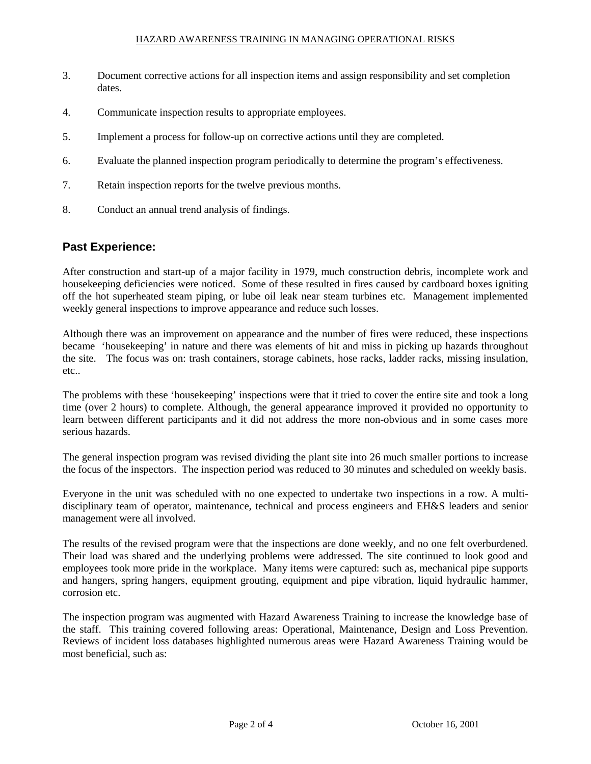- 3. Document corrective actions for all inspection items and assign responsibility and set completion dates.
- 4. Communicate inspection results to appropriate employees.
- 5. Implement a process for follow-up on corrective actions until they are completed.
- 6. Evaluate the planned inspection program periodically to determine the program's effectiveness.
- 7. Retain inspection reports for the twelve previous months.
- 8. Conduct an annual trend analysis of findings.

#### **Past Experience:**

After construction and start-up of a major facility in 1979, much construction debris, incomplete work and housekeeping deficiencies were noticed. Some of these resulted in fires caused by cardboard boxes igniting off the hot superheated steam piping, or lube oil leak near steam turbines etc. Management implemented weekly general inspections to improve appearance and reduce such losses.

Although there was an improvement on appearance and the number of fires were reduced, these inspections became 'housekeeping' in nature and there was elements of hit and miss in picking up hazards throughout the site. The focus was on: trash containers, storage cabinets, hose racks, ladder racks, missing insulation, etc..

The problems with these 'housekeeping' inspections were that it tried to cover the entire site and took a long time (over 2 hours) to complete. Although, the general appearance improved it provided no opportunity to learn between different participants and it did not address the more non-obvious and in some cases more serious hazards.

The general inspection program was revised dividing the plant site into 26 much smaller portions to increase the focus of the inspectors. The inspection period was reduced to 30 minutes and scheduled on weekly basis.

Everyone in the unit was scheduled with no one expected to undertake two inspections in a row. A multidisciplinary team of operator, maintenance, technical and process engineers and EH&S leaders and senior management were all involved.

The results of the revised program were that the inspections are done weekly, and no one felt overburdened. Their load was shared and the underlying problems were addressed. The site continued to look good and employees took more pride in the workplace. Many items were captured: such as, mechanical pipe supports and hangers, spring hangers, equipment grouting, equipment and pipe vibration, liquid hydraulic hammer, corrosion etc.

The inspection program was augmented with Hazard Awareness Training to increase the knowledge base of the staff. This training covered following areas: Operational, Maintenance, Design and Loss Prevention. Reviews of incident loss databases highlighted numerous areas were Hazard Awareness Training would be most beneficial, such as: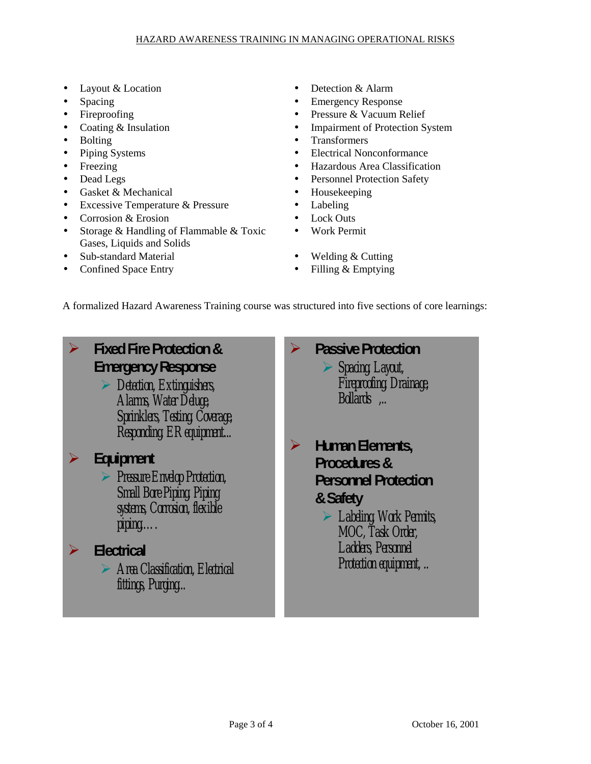- 
- 
- 
- 
- 
- 
- 
- 
- Gasket & Mechanical Housekeeping
- Excessive Temperature & Pressure Labeling
- Corrosion & Erosion Lock Outs
- Storage & Handling of Flammable & Toxic Gases, Liquids and Solids
- Sub-standard Material Welding & Cutting
- Confined Space Entry Filling & Emptying
- Layout & Location Detection & Alarm
- Spacing Emergency Response
	- Fireproofing Pressure & Vacuum Relief
- Coating & Insulation Impairment of Protection System
- Bolting Transformers
- Piping Systems Electrical Nonconformance
- Freezing Hazardous Area Classification
- Dead Legs Personnel Protection Safety
	-
	-
	-
	- Work Permit
	-
	-

A formalized Hazard Awareness Training course was structured into five sections of core learnings:

# **Fixed Fire Protection & Emergency Response**

 *Detection, Extinguishers, Alarms, Water Deluge, Sprinklers, Testing, Coverage, Responding, ER equipment...*

### **Equipment**

 *Pressure Envelop Protection, Small Bore Piping, Piping systems, Corrosion, flexible piping,….*

# **Electrical**

 *Area Classification, Electrical fittings, Purging...*

 **Passive Protection** *Spacing, Layout, Fireproofing, Drainage, Bollards ,..*

- **Human Elements, Procedures & Personnel Protection & Safety**
	- *Labeling, Work Permits, MOC, Task Order, Ladders, Personnel Protection equipment, ..*